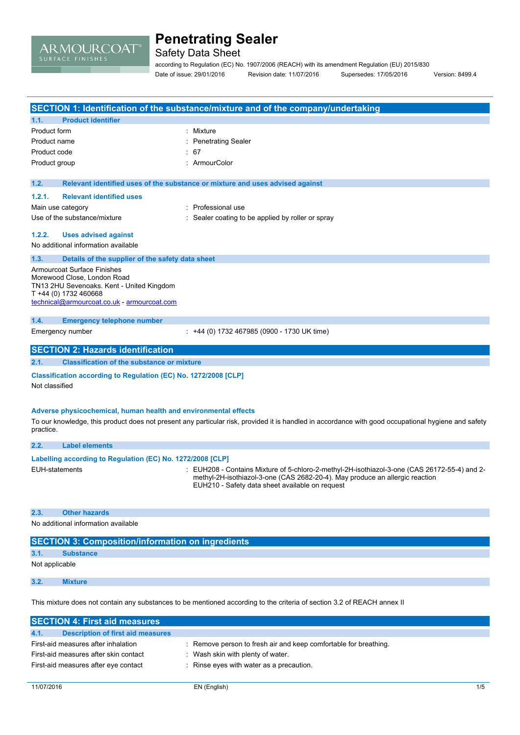

Safety Data Sheet

according to Regulation (EC) No. 1907/2006 (REACH) with its amendment Regulation (EU) 2015/830 Date of issue: 29/01/2016 Revision date: 11/07/2016 Supersedes: 17/05/2016 Version: 8499.4

| SECTION 1: Identification of the substance/mixture and of the company/undertaking |                                                                                                                                                                                        |                                                                                                                                                                                                                               |  |
|-----------------------------------------------------------------------------------|----------------------------------------------------------------------------------------------------------------------------------------------------------------------------------------|-------------------------------------------------------------------------------------------------------------------------------------------------------------------------------------------------------------------------------|--|
| 1.1.                                                                              | <b>Product identifier</b>                                                                                                                                                              |                                                                                                                                                                                                                               |  |
| Product form                                                                      |                                                                                                                                                                                        | Mixture                                                                                                                                                                                                                       |  |
| Product name                                                                      |                                                                                                                                                                                        | <b>Penetrating Sealer</b>                                                                                                                                                                                                     |  |
| Product code                                                                      |                                                                                                                                                                                        | 67                                                                                                                                                                                                                            |  |
| Product group                                                                     |                                                                                                                                                                                        | ArmourColor                                                                                                                                                                                                                   |  |
| 1.2.                                                                              |                                                                                                                                                                                        | Relevant identified uses of the substance or mixture and uses advised against                                                                                                                                                 |  |
| 1.2.1.                                                                            | <b>Relevant identified uses</b>                                                                                                                                                        |                                                                                                                                                                                                                               |  |
|                                                                                   | Main use category                                                                                                                                                                      | Professional use                                                                                                                                                                                                              |  |
|                                                                                   | Use of the substance/mixture                                                                                                                                                           | Sealer coating to be applied by roller or spray                                                                                                                                                                               |  |
| 1.2.2.                                                                            | <b>Uses advised against</b>                                                                                                                                                            |                                                                                                                                                                                                                               |  |
|                                                                                   | No additional information available                                                                                                                                                    |                                                                                                                                                                                                                               |  |
| 1.3.                                                                              | Details of the supplier of the safety data sheet                                                                                                                                       |                                                                                                                                                                                                                               |  |
|                                                                                   | <b>Armourcoat Surface Finishes</b><br>Morewood Close, London Road<br>TN13 2HU Sevenoaks. Kent - United Kingdom<br>T +44 (0) 1732 460668<br>technical@armourcoat.co.uk - armourcoat.com |                                                                                                                                                                                                                               |  |
| 1.4.                                                                              | <b>Emergency telephone number</b>                                                                                                                                                      |                                                                                                                                                                                                                               |  |
|                                                                                   | Emergency number                                                                                                                                                                       | : +44 (0) 1732 467985 (0900 - 1730 UK time)                                                                                                                                                                                   |  |
|                                                                                   | <b>SECTION 2: Hazards identification</b>                                                                                                                                               |                                                                                                                                                                                                                               |  |
| 2.1.                                                                              | <b>Classification of the substance or mixture</b>                                                                                                                                      |                                                                                                                                                                                                                               |  |
| Not classified                                                                    | Classification according to Regulation (EC) No. 1272/2008 [CLP]                                                                                                                        |                                                                                                                                                                                                                               |  |
| practice.                                                                         | Adverse physicochemical, human health and environmental effects                                                                                                                        | To our knowledge, this product does not present any particular risk, provided it is handled in accordance with good occupational hygiene and safety                                                                           |  |
| 2.2.                                                                              | <b>Label elements</b>                                                                                                                                                                  |                                                                                                                                                                                                                               |  |
|                                                                                   | Labelling according to Regulation (EC) No. 1272/2008 [CLP]                                                                                                                             |                                                                                                                                                                                                                               |  |
| <b>EUH-statements</b>                                                             |                                                                                                                                                                                        | EUH208 - Contains Mixture of 5-chloro-2-methyl-2H-isothiazol-3-one (CAS 26172-55-4) and 2-<br>methyl-2H-isothiazol-3-one (CAS 2682-20-4). May produce an allergic reaction<br>EUH210 - Safety data sheet available on request |  |
| 2.3.                                                                              | <b>Other hazards</b>                                                                                                                                                                   |                                                                                                                                                                                                                               |  |
|                                                                                   | No additional information available                                                                                                                                                    |                                                                                                                                                                                                                               |  |
|                                                                                   | <b>SECTION 3: Composition/information on ingredients</b>                                                                                                                               |                                                                                                                                                                                                                               |  |
| 3.1.                                                                              | <b>Substance</b>                                                                                                                                                                       |                                                                                                                                                                                                                               |  |
| Not applicable                                                                    |                                                                                                                                                                                        |                                                                                                                                                                                                                               |  |
| 3.2.                                                                              | <b>Mixture</b>                                                                                                                                                                         |                                                                                                                                                                                                                               |  |
|                                                                                   |                                                                                                                                                                                        | This mixture does not contain any substances to be mentioned according to the criteria of section 3.2 of REACH annex II                                                                                                       |  |
|                                                                                   | <b>SECTION 4: First aid measures</b>                                                                                                                                                   |                                                                                                                                                                                                                               |  |
| 4.1.                                                                              | <b>Description of first aid measures</b>                                                                                                                                               |                                                                                                                                                                                                                               |  |
|                                                                                   | First-aid measures after inhalation                                                                                                                                                    | Remove person to fresh air and keep comfortable for breathing.                                                                                                                                                                |  |

- First-aid measures after skin contact : Wash skin with plenty of water.
- First-aid measures after eye contact : Rinse eyes with water as a precaution.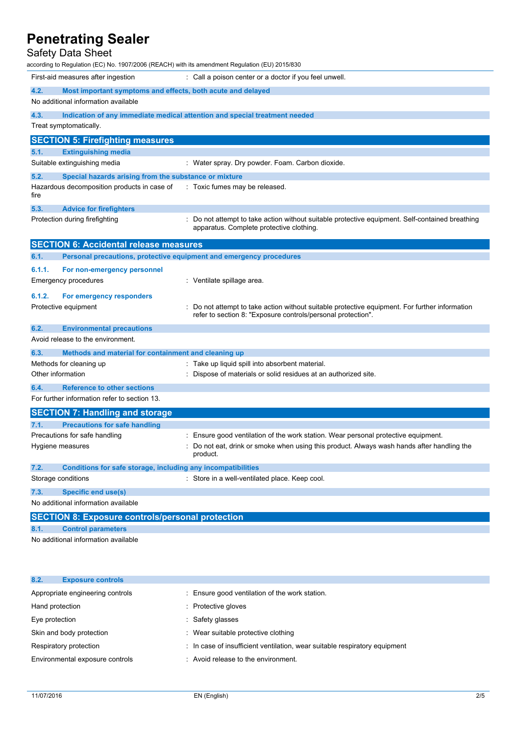# Safety Data Sheet

| according to Regulation (EC) No. 1907/2006 (REACH) with its amendment Regulation (EU) 2015/830 |                                                                                                                                                              |  |  |  |
|------------------------------------------------------------------------------------------------|--------------------------------------------------------------------------------------------------------------------------------------------------------------|--|--|--|
| First-aid measures after ingestion                                                             | : Call a poison center or a doctor if you feel unwell.                                                                                                       |  |  |  |
| 4.2.<br>Most important symptoms and effects, both acute and delayed                            |                                                                                                                                                              |  |  |  |
| No additional information available                                                            |                                                                                                                                                              |  |  |  |
| 4.3.                                                                                           | Indication of any immediate medical attention and special treatment needed                                                                                   |  |  |  |
| Treat symptomatically.                                                                         |                                                                                                                                                              |  |  |  |
| <b>SECTION 5: Firefighting measures</b>                                                        |                                                                                                                                                              |  |  |  |
| 5.1.<br><b>Extinguishing media</b>                                                             |                                                                                                                                                              |  |  |  |
| Suitable extinguishing media                                                                   | : Water spray. Dry powder. Foam. Carbon dioxide.                                                                                                             |  |  |  |
| 5.2.<br>Special hazards arising from the substance or mixture                                  |                                                                                                                                                              |  |  |  |
| Hazardous decomposition products in case of<br>fire                                            | : Toxic fumes may be released.                                                                                                                               |  |  |  |
| 5.3.<br><b>Advice for firefighters</b>                                                         |                                                                                                                                                              |  |  |  |
| Protection during firefighting                                                                 | : Do not attempt to take action without suitable protective equipment. Self-contained breathing<br>apparatus. Complete protective clothing.                  |  |  |  |
| <b>SECTION 6: Accidental release measures</b>                                                  |                                                                                                                                                              |  |  |  |
| Personal precautions, protective equipment and emergency procedures<br>6.1.                    |                                                                                                                                                              |  |  |  |
| 6.1.1.<br>For non-emergency personnel                                                          |                                                                                                                                                              |  |  |  |
| Emergency procedures                                                                           | : Ventilate spillage area.                                                                                                                                   |  |  |  |
| 6.1.2.<br>For emergency responders                                                             |                                                                                                                                                              |  |  |  |
| Protective equipment                                                                           | Do not attempt to take action without suitable protective equipment. For further information<br>refer to section 8: "Exposure controls/personal protection". |  |  |  |
| 6.2.<br><b>Environmental precautions</b>                                                       |                                                                                                                                                              |  |  |  |
| Avoid release to the environment.                                                              |                                                                                                                                                              |  |  |  |
| 6.3.<br>Methods and material for containment and cleaning up                                   |                                                                                                                                                              |  |  |  |
| Methods for cleaning up                                                                        | : Take up liquid spill into absorbent material.                                                                                                              |  |  |  |
| Other information                                                                              | : Dispose of materials or solid residues at an authorized site.                                                                                              |  |  |  |
| 6.4.<br><b>Reference to other sections</b>                                                     |                                                                                                                                                              |  |  |  |
| For further information refer to section 13.                                                   |                                                                                                                                                              |  |  |  |
| <b>SECTION 7: Handling and storage</b>                                                         |                                                                                                                                                              |  |  |  |
| 7.1.<br><b>Precautions for safe handling</b>                                                   |                                                                                                                                                              |  |  |  |
| Precautions for safe handling                                                                  | : Ensure good ventilation of the work station. Wear personal protective equipment.                                                                           |  |  |  |
| Hygiene measures                                                                               | Do not eat, drink or smoke when using this product. Always wash hands after handling the<br>product.                                                         |  |  |  |
| 7.2.<br>Conditions for safe storage, including any incompatibilities                           |                                                                                                                                                              |  |  |  |
| Storage conditions                                                                             | : Store in a well-ventilated place. Keep cool.                                                                                                               |  |  |  |
| 7.3.<br><b>Specific end use(s)</b>                                                             |                                                                                                                                                              |  |  |  |
| No additional information available                                                            |                                                                                                                                                              |  |  |  |
| <b>SECTION 8: Exposure controls/personal protection</b>                                        |                                                                                                                                                              |  |  |  |
| 8.1.<br><b>Control parameters</b>                                                              |                                                                                                                                                              |  |  |  |
|                                                                                                |                                                                                                                                                              |  |  |  |

No additional information available

| 8.2.<br><b>Exposure controls</b> |                                                                            |
|----------------------------------|----------------------------------------------------------------------------|
| Appropriate engineering controls | : Ensure good ventilation of the work station.                             |
| Hand protection                  | : Protective gloves                                                        |
| Eye protection                   | Safety glasses                                                             |
| Skin and body protection         | : Wear suitable protective clothing                                        |
| Respiratory protection           | : In case of insufficient ventilation, wear suitable respiratory equipment |
| Environmental exposure controls  | : Avoid release to the environment.                                        |
|                                  |                                                                            |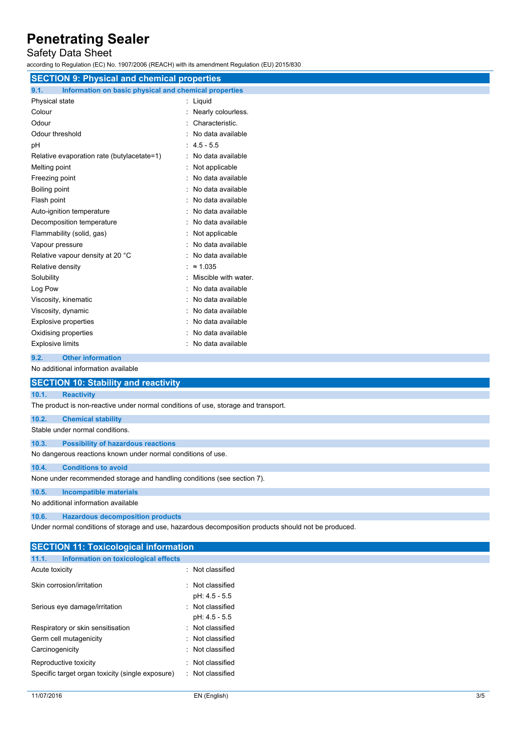# Safety Data Sheet

according to Regulation (EC) No. 1907/2006 (REACH) with its amendment Regulation (EU) 2015/830

| <b>SECTION 9: Physical and chemical properties</b>            |                        |  |  |
|---------------------------------------------------------------|------------------------|--|--|
| 9.1.<br>Information on basic physical and chemical properties |                        |  |  |
| Physical state                                                | : Liquid               |  |  |
| Colour                                                        | : Nearly colourless.   |  |  |
| Odour                                                         | : Characteristic.      |  |  |
| Odour threshold                                               | : No data available    |  |  |
| рH                                                            | $: 4.5 - 5.5$          |  |  |
| Relative evaporation rate (butylacetate=1)                    | : No data available    |  |  |
| Melting point                                                 | Not applicable         |  |  |
| Freezing point                                                | No data available      |  |  |
| Boiling point                                                 | No data available      |  |  |
| Flash point                                                   | No data available      |  |  |
| Auto-ignition temperature                                     | No data available      |  |  |
| Decomposition temperature                                     | No data available      |  |  |
| Flammability (solid, gas)                                     | Not applicable         |  |  |
| Vapour pressure                                               | No data available      |  |  |
| Relative vapour density at 20 °C                              | No data available      |  |  |
| Relative density                                              | : $\approx 1.035$      |  |  |
| Solubility                                                    | Miscible with water.   |  |  |
| Log Pow                                                       | No data available      |  |  |
| Viscosity, kinematic                                          | No data available      |  |  |
| Viscosity, dynamic                                            | No data available      |  |  |
| <b>Explosive properties</b>                                   | No data available      |  |  |
| Oxidising properties                                          | No data available      |  |  |
| <b>Explosive limits</b>                                       | No data available<br>٠ |  |  |

# **9.2. Other information**

No additional information available

| <b>SECTION 10: Stability and reactivity</b>                                        |  |  |
|------------------------------------------------------------------------------------|--|--|
| <b>Reactivity</b><br>10.1.                                                         |  |  |
| The product is non-reactive under normal conditions of use, storage and transport. |  |  |
| 10.2.<br><b>Chemical stability</b>                                                 |  |  |
| Stable under normal conditions.                                                    |  |  |
| <b>Possibility of hazardous reactions</b><br>10.3.                                 |  |  |
| No dangerous reactions known under normal conditions of use.                       |  |  |
| <b>Conditions to avoid</b><br>10.4.                                                |  |  |
| None under recommended storage and handling conditions (see section 7).            |  |  |
| 10.5.<br><b>Incompatible materials</b>                                             |  |  |
| No additional information available                                                |  |  |
| 10.6.<br><b>Hazardous decomposition products</b>                                   |  |  |

Under normal conditions of storage and use, hazardous decomposition products should not be produced.

| <b>SECTION 11: Toxicological information</b>                              |                                      |  |
|---------------------------------------------------------------------------|--------------------------------------|--|
| 11.1.<br>Information on toxicological effects                             |                                      |  |
| Acute toxicity                                                            | : Not classified                     |  |
| Skin corrosion/irritation                                                 | : Not classified<br>pH: 4.5 - 5.5    |  |
| Serious eye damage/irritation                                             | : Not classified<br>pH: 4.5 - 5.5    |  |
| Respiratory or skin sensitisation                                         | : Not classified                     |  |
| Germ cell mutagenicity                                                    | : Not classified                     |  |
| Carcinogenicity                                                           | : Not classified                     |  |
| Reproductive toxicity<br>Specific target organ toxicity (single exposure) | : Not classified<br>: Not classified |  |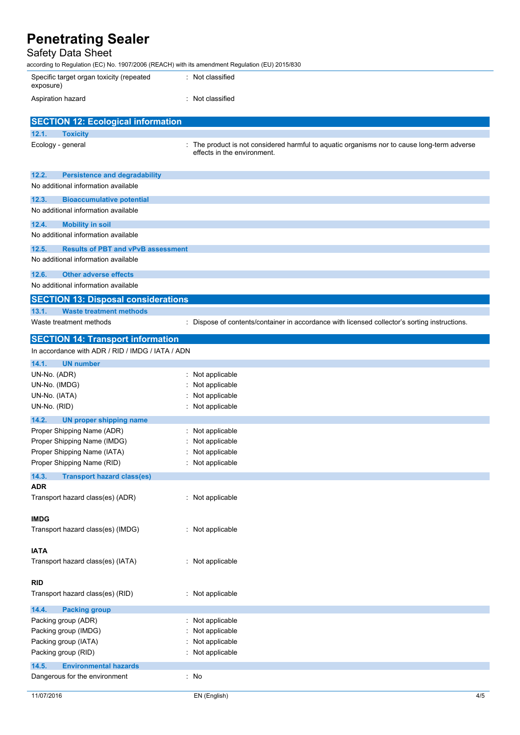| Penetrating Sealer<br>Safety Data Sheet                                                        |                                                                                                                            |
|------------------------------------------------------------------------------------------------|----------------------------------------------------------------------------------------------------------------------------|
| according to Regulation (EC) No. 1907/2006 (REACH) with its amendment Regulation (EU) 2015/830 |                                                                                                                            |
| Specific target organ toxicity (repeated<br>exposure)                                          | Not classified                                                                                                             |
| Aspiration hazard                                                                              | : Not classified                                                                                                           |
| <b>SECTION 12: Ecological information</b>                                                      |                                                                                                                            |
| 12.1.<br><b>Toxicity</b>                                                                       |                                                                                                                            |
| Ecology - general                                                                              | : The product is not considered harmful to aquatic organisms nor to cause long-term adverse<br>effects in the environment. |
| 12.2.<br><b>Persistence and degradability</b>                                                  |                                                                                                                            |
| No additional information available                                                            |                                                                                                                            |
| 12.3.<br><b>Bioaccumulative potential</b>                                                      |                                                                                                                            |
| No additional information available                                                            |                                                                                                                            |
| 12.4.<br><b>Mobility in soil</b>                                                               |                                                                                                                            |
| No additional information available                                                            |                                                                                                                            |
| 12.5.<br><b>Results of PBT and vPvB assessment</b>                                             |                                                                                                                            |
| No additional information available                                                            |                                                                                                                            |
| 12.6.<br><b>Other adverse effects</b>                                                          |                                                                                                                            |
| No additional information available                                                            |                                                                                                                            |
| <b>SECTION 13: Disposal considerations</b>                                                     |                                                                                                                            |
| 13.1.<br><b>Waste treatment methods</b>                                                        |                                                                                                                            |
| Waste treatment methods                                                                        | : Dispose of contents/container in accordance with licensed collector's sorting instructions.                              |
| <b>SECTION 14: Transport information</b>                                                       |                                                                                                                            |
| In accordance with ADR / RID / IMDG / IATA / ADN                                               |                                                                                                                            |
| 14.1.<br><b>UN number</b>                                                                      |                                                                                                                            |
| UN-No. (ADR)                                                                                   | Not applicable                                                                                                             |
| UN-No. (IMDG)                                                                                  | Not applicable                                                                                                             |
| UN-No. (IATA)                                                                                  | Not applicable                                                                                                             |
| UN-No. (RID)                                                                                   | Not applicable                                                                                                             |
| 14.2.<br>UN proper shipping name                                                               |                                                                                                                            |
| Proper Shipping Name (ADR)                                                                     | Not applicable                                                                                                             |
| Proper Shipping Name (IMDG)                                                                    | Not applicable                                                                                                             |
| Proper Shipping Name (IATA)<br>Draper Chinning Name (DID)                                      | Not applicable<br>Not applicable                                                                                           |

| Proper Shipping Name (RID)                       | : Not applicable |
|--------------------------------------------------|------------------|
| 14.3.<br><b>Transport hazard class(es)</b>       |                  |
| ADR<br>Transport hazard class(es) (ADR)          | : Not applicable |
| <b>IMDG</b><br>Transport hazard class(es) (IMDG) | : Not applicable |
| <b>IATA</b><br>Transport hazard class(es) (IATA) | : Not applicable |
| RID<br>Transport hazard class(es) (RID)          | : Not applicable |
| 14.4.<br><b>Packing group</b>                    |                  |
| Packing group (ADR)                              | : Not applicable |
| Packing group (IMDG)                             | : Not applicable |
| Packing group (IATA)                             | : Not applicable |
| Packing group (RID)                              | : Not applicable |
| 14.5.<br><b>Environmental hazards</b>            |                  |
| Dangerous for the environment                    | : No             |